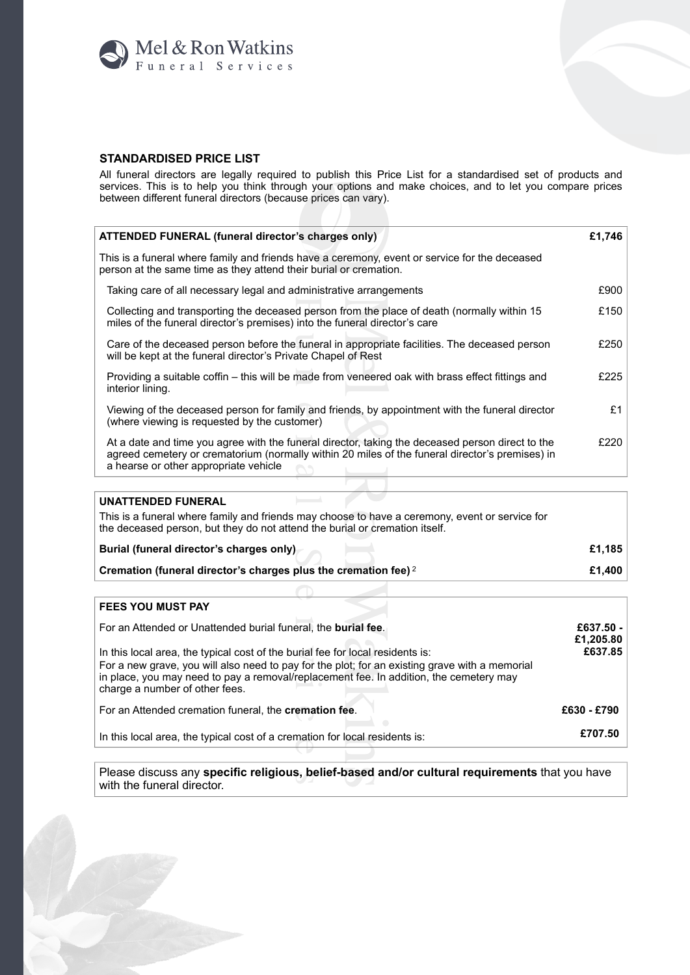

## **STANDARDISED PRICE LIST**

All funeral directors are legally required to publish this Price List for a standardised set of products and services. This is to help you think through your options and make choices, and to let you compare prices<br>between different funeral directors (because prices can vary).

| ATTENDED FUNERAL (funeral director's charges only)                                                                                                                                                                                           | £1,746 |  |  |
|----------------------------------------------------------------------------------------------------------------------------------------------------------------------------------------------------------------------------------------------|--------|--|--|
| This is a funeral where family and friends have a ceremony, event or service for the deceased<br>person at the same time as they attend their burial or cremation.                                                                           |        |  |  |
| Taking care of all necessary legal and administrative arrangements                                                                                                                                                                           | £900   |  |  |
| Collecting and transporting the deceased person from the place of death (normally within 15<br>miles of the funeral director's premises) into the funeral director's care                                                                    | £150   |  |  |
| Care of the deceased person before the funeral in appropriate facilities. The deceased person<br>will be kept at the funeral director's Private Chapel of Rest                                                                               | £250   |  |  |
| Providing a suitable coffin - this will be made from veneered oak with brass effect fittings and<br>interior lining.                                                                                                                         | £225   |  |  |
| Viewing of the deceased person for family and friends, by appointment with the funeral director<br>(where viewing is requested by the customer)                                                                                              | £1     |  |  |
| At a date and time you agree with the funeral director, taking the deceased person direct to the<br>agreed cemetery or crematorium (normally within 20 miles of the funeral director's premises) in<br>a hearse or other appropriate vehicle | £220   |  |  |
| <b>UNATTENDED FUNERAL</b>                                                                                                                                                                                                                    |        |  |  |
| This is a funeral where family and friends may choose to have a ceremony, event or service for<br>the deceased person, but they do not attend the burial or cremation itself.                                                                |        |  |  |
| Burial (funeral director's charges only)                                                                                                                                                                                                     | £1,185 |  |  |
| Cremation (funeral director's charges plus the cremation fee) 2                                                                                                                                                                              | £1,400 |  |  |
|                                                                                                                                                                                                                                              |        |  |  |
| <b>FEES YOU MUST PAY</b>                                                                                                                                                                                                                     |        |  |  |

## FEES YOU MUST PAY

| For an Attended or Unattended burial funeral, the burial fee.<br>In this local area, the typical cost of the burial fee for local residents is:<br>For a new grave, you will also need to pay for the plot; for an existing grave with a memorial<br>in place, you may need to pay a removal/replacement fee. In addition, the cemetery may<br>charge a number of other fees. | £637.50 -<br>£1,205.80<br>£637.85 |
|-------------------------------------------------------------------------------------------------------------------------------------------------------------------------------------------------------------------------------------------------------------------------------------------------------------------------------------------------------------------------------|-----------------------------------|
| For an Attended cremation funeral, the <b>cremation fee</b> .                                                                                                                                                                                                                                                                                                                 | £630 - £790                       |
| In this local area, the typical cost of a cremation for local residents is:                                                                                                                                                                                                                                                                                                   | £707.50                           |

Please discuss any specific religious, belief-based and/or cultural requirements that you have with the funeral director.